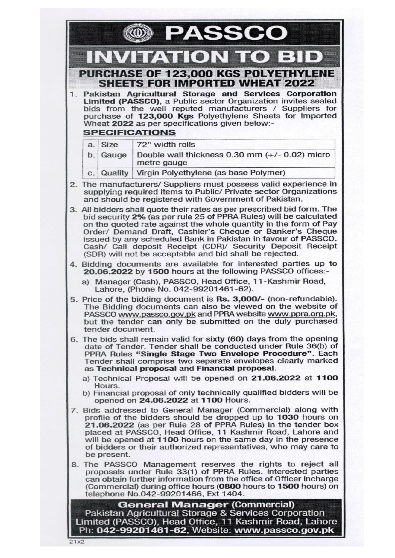|                                                                                                                                                                                                                                                                                                                                                                                                                                                                       |                  | <b>PASSCO</b>                                                                                                                                                                                                                                                                                                                                                                                |  |
|-----------------------------------------------------------------------------------------------------------------------------------------------------------------------------------------------------------------------------------------------------------------------------------------------------------------------------------------------------------------------------------------------------------------------------------------------------------------------|------------------|----------------------------------------------------------------------------------------------------------------------------------------------------------------------------------------------------------------------------------------------------------------------------------------------------------------------------------------------------------------------------------------------|--|
|                                                                                                                                                                                                                                                                                                                                                                                                                                                                       |                  | <b>INVITATION TO BID</b>                                                                                                                                                                                                                                                                                                                                                                     |  |
|                                                                                                                                                                                                                                                                                                                                                                                                                                                                       |                  | <b>PURCHASE OF 123,000 KGS POLYETHYLENE</b><br><b>SHEETS FOR IMPORTED WHEAT 2022</b>                                                                                                                                                                                                                                                                                                         |  |
|                                                                                                                                                                                                                                                                                                                                                                                                                                                                       |                  | 1. Pakistan Agricultural Storage and Services Corporation<br>Limited (PASSCO), a Public sector Organization invites sealed<br>bids from the well reputed manufacturers / Suppliers for<br>purchase of 123,000 Kgs Polyethylene Sheets for Imported<br>Wheat 2022 as per specifications given below:-<br><b>SPECIFICATIONS</b>                                                                |  |
|                                                                                                                                                                                                                                                                                                                                                                                                                                                                       | a. Size          | 72" width rolls                                                                                                                                                                                                                                                                                                                                                                              |  |
|                                                                                                                                                                                                                                                                                                                                                                                                                                                                       | $b.$ Gauge       | Double wall thickness 0.30 mm (+/- 0.02) micro<br>metre gauge                                                                                                                                                                                                                                                                                                                                |  |
|                                                                                                                                                                                                                                                                                                                                                                                                                                                                       |                  | c. Quality   Virgin Polyethylene (as base Polymer)                                                                                                                                                                                                                                                                                                                                           |  |
|                                                                                                                                                                                                                                                                                                                                                                                                                                                                       |                  | 2. The manufacturers/ Suppliers must possess valid experience in<br>supplying required items to Public/ Private sector Organizations<br>and should be registered with Government of Pakistan.                                                                                                                                                                                                |  |
| 3. All bidders shall quote their rates as per prescribed bid form. The<br>bid security 2% (as per rule 25 of PPRA Rules) will be calculated<br>on the quoted rate against the whole quantity in the form of Pay<br>Order/ Demand Draft, Cashier's Cheque or Banker's Cheque<br>issued by any scheduled Bank in Pakistan in favour of PASSCO.<br>Cash/ Call deposit Receipt (CDR)/ Security Deposit Receipt<br>(SDR) will not be acceptable and bid shall be rejected. |                  |                                                                                                                                                                                                                                                                                                                                                                                              |  |
|                                                                                                                                                                                                                                                                                                                                                                                                                                                                       |                  | 4. Bidding documents are available for interested parties up to<br>20.06.2022 by 1500 hours at the following PASSCO offices:-                                                                                                                                                                                                                                                                |  |
|                                                                                                                                                                                                                                                                                                                                                                                                                                                                       |                  | a) Manager (Cash), PASSCO, Head Office, 11-Kashmir Road,<br>Lahore, (Phone No. 042-99201461-62).                                                                                                                                                                                                                                                                                             |  |
|                                                                                                                                                                                                                                                                                                                                                                                                                                                                       | tender document. | 5. Price of the bidding document is Rs. 3,000/- (non-refundable).<br>The Bidding documents can also be viewed on the website of<br>PASSCO www.passco.gov.pk and PPRA website www.ppra.org.pk,<br>but the tender can only be submitted on the duly purchased                                                                                                                                  |  |
|                                                                                                                                                                                                                                                                                                                                                                                                                                                                       |                  | 6. The bids shall remain valid for sixty (60) days from the opening<br>date of Tender. Tender shall be conducted under Rule 36(b) of<br>PPRA Rules "Single Stage Two Envelope Procedure". Each<br>Tender shall comprise two separate envelopes clearly marked<br>as Technical proposal and Financial proposal.                                                                               |  |
|                                                                                                                                                                                                                                                                                                                                                                                                                                                                       | Hours.           | a) Technical Proposal will be opened on 21.06.2022 at 1100<br>b) Financial proposal of only technically qualified bidders will be<br>opened on 24.06.2022 at 1100 Hours.                                                                                                                                                                                                                     |  |
|                                                                                                                                                                                                                                                                                                                                                                                                                                                                       | be present.      | 7. Bids addressed to General Manager (Commercial) along with<br>profile of the bidders should be dropped up to 1030 hours on<br>21.06.2022 (as per Rule 28 of PPRA Rules) in the tender box<br>placed at PASSCO, Head Office, 11 Kashmir Road, Lahore and<br>will be opened at 1100 hours on the same day in the presence<br>of bidders or their authorized representatives, who may care to |  |
|                                                                                                                                                                                                                                                                                                                                                                                                                                                                       |                  | 8. The PASSCO Management reserves the rights to reject all<br>proposals under Rule 33(1) of PPRA Rules. Interested parties<br>can obtain further information from the office of Officer Incharge<br>(Commercial) during office hours (0800 hours to 1500 hours) on<br>telephone No.042-99201466, Ext 1404.                                                                                   |  |
|                                                                                                                                                                                                                                                                                                                                                                                                                                                                       |                  | <b>General Manager (Commercial)</b><br>Pakistan Agricultural Storage & Services Corporation<br>Limited (PASSCO), Head Office, 11 Kashmir Road, Lahore<br>Ph: 042-99201461-62, Website: www.passco.gov.pk                                                                                                                                                                                     |  |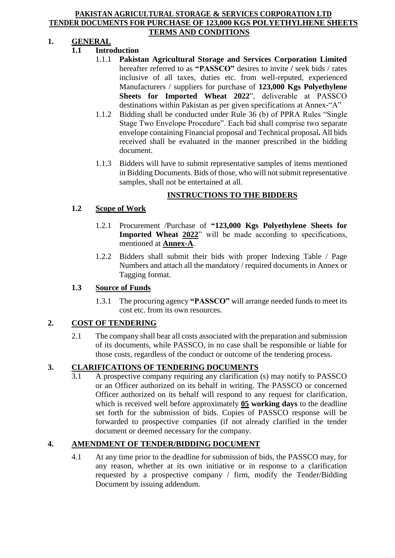#### **PAKISTAN AGRICULTURAL STORAGE & SERVICES CORPORATION LTD TENDER DOCUMENTS FOR PURCHASE OF 123,000 KGS POLYETHYLHENE SHEETS TERMS AND CONDITIONS**

## **1. GENERAL**

## **1.1 Introduction**

- 1.1.1 **Pakistan Agricultural Storage and Services Corporation Limited**  hereafter referred to as **"PASSCO"** desires to invite **/** seek bids / rates inclusive of all taxes, duties etc. from well-reputed, experienced Manufacturers / suppliers for purchase of **123,000 Kgs Polyethylene Sheets for Imported Wheat 2022**", deliverable at PASSCO destinations within Pakistan as per given specifications at Annex-"A"
- 1.1.2 Bidding shall be conducted under Rule 36 (b) of PPRA Rules "Single Stage Two Envelope Procedure". Each bid shall comprise two separate envelope containing Financial proposal and Technical proposal**.** All bids received shall be evaluated in the manner prescribed in the bidding document.
- 1.1.3 Bidders will have to submit representative samples of items mentioned in Bidding Documents. Bids of those, who will not submit representative samples, shall not be entertained at all.

## **INSTRUCTIONS TO THE BIDDERS**

## **1.2 Scope of Work**

- 1.2.1 Procurement /Purchase of **"123,000 Kgs Polyethylene Sheets for Imported Wheat 2022**" will be made according to specifications. mentioned at **Annex-A**.
- 1.2.2 Bidders shall submit their bids with proper Indexing Table / Page Numbers and attach all the mandatory / required documents in Annex or Tagging format.

## **1.3 Source of Funds**

1.3.1 The procuring agency **"PASSCO"** will arrange needed funds to meet its cost etc. from its own resources.

## **2. COST OF TENDERING**

2.1 The company shall bear all costs associated with the preparation and submission of its documents, while PASSCO, in no case shall be responsible or liable for those costs, regardless of the conduct or outcome of the tendering process.

## **3. CLARIFICATIONS OF TENDERING DOCUMENTS**

3.1 A prospective company requiring any clarification (s) may notify to PASSCO or an Officer authorized on its behalf in writing. The PASSCO or concerned Officer authorized on its behalf will respond to any request for clarification, which is received well before approximately **05 working days** to the deadline set forth for the submission of bids. Copies of PASSCO response will be forwarded to prospective companies (if not already clarified in the tender document or deemed necessary for the company.

## **4. AMENDMENT OF TENDER/BIDDING DOCUMENT**

4.1 At any time prior to the deadline for submission of bids, the PASSCO may, for any reason, whether at its own initiative or in response to a clarification requested by a prospective company / firm, modify the Tender/Bidding Document by issuing addendum.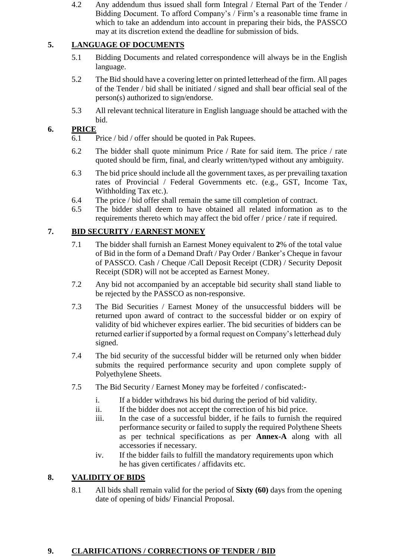4.2 Any addendum thus issued shall form Integral / Eternal Part of the Tender / Bidding Document. To afford Company's / Firm's a reasonable time frame in which to take an addendum into account in preparing their bids, the PASSCO may at its discretion extend the deadline for submission of bids.

## **5. LANGUAGE OF DOCUMENTS**

- 5.1 Bidding Documents and related correspondence will always be in the English language.
- 5.2 The Bid should have a covering letter on printed letterhead of the firm. All pages of the Tender / bid shall be initiated / signed and shall bear official seal of the person(s) authorized to sign/endorse.
- 5.3 All relevant technical literature in English language should be attached with the bid.

## **6. PRICE**

- 6.1 Price / bid / offer should be quoted in Pak Rupees.
- 6.2 The bidder shall quote minimum Price / Rate for said item. The price / rate quoted should be firm, final, and clearly written/typed without any ambiguity.
- 6.3 The bid price should include all the government taxes, as per prevailing taxation rates of Provincial / Federal Governments etc. (e.g., GST, Income Tax, Withholding Tax etc.).
- 6.4 The price / bid offer shall remain the same till completion of contract.
- 6.5 The bidder shall deem to have obtained all related information as to the requirements thereto which may affect the bid offer / price / rate if required.

## **7. BID SECURITY / EARNEST MONEY**

- 7.1 The bidder shall furnish an Earnest Money equivalent to **2**% of the total value of Bid in the form of a Demand Draft / Pay Order / Banker's Cheque in favour of PASSCO. Cash / Cheque /Call Deposit Receipt (CDR) / Security Deposit Receipt (SDR) will not be accepted as Earnest Money.
- 7.2 Any bid not accompanied by an acceptable bid security shall stand liable to be rejected by the PASSCO as non-responsive.
- 7.3 The Bid Securities / Earnest Money of the unsuccessful bidders will be returned upon award of contract to the successful bidder or on expiry of validity of bid whichever expires earlier. The bid securities of bidders can be returned earlier if supported by a formal request on Company's letterhead duly signed.
- 7.4 The bid security of the successful bidder will be returned only when bidder submits the required performance security and upon complete supply of Polyethylene Sheets.
- 7.5 The Bid Security / Earnest Money may be forfeited / confiscated:
	- i. If a bidder withdraws his bid during the period of bid validity.
	- ii. If the bidder does not accept the correction of his bid price.
	- iii. In the case of a successful bidder, if he fails to furnish the required performance security or failed to supply the required Polythene Sheets as per technical specifications as per **Annex-A** along with all accessories if necessary.
	- iv. If the bidder fails to fulfill the mandatory requirements upon which he has given certificates / affidavits etc.

## **8. VALIDITY OF BIDS**

8.1 All bids shall remain valid for the period of **Sixty (60)** days from the opening date of opening of bids/ Financial Proposal.

## **9. CLARIFICATIONS / CORRECTIONS OF TENDER / BID**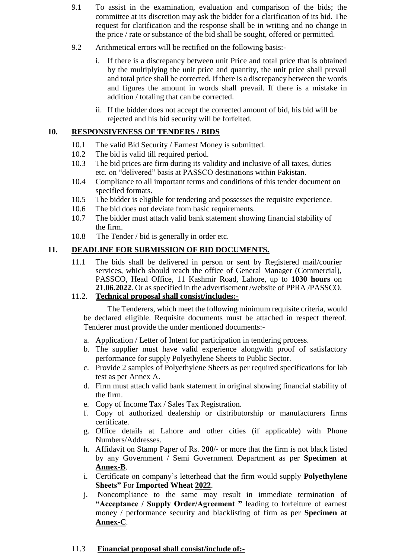- 9.1 To assist in the examination, evaluation and comparison of the bids; the committee at its discretion may ask the bidder for a clarification of its bid. The request for clarification and the response shall be in writing and no change in the price / rate or substance of the bid shall be sought, offered or permitted.
- 9.2 Arithmetical errors will be rectified on the following basis:
	- i. If there is a discrepancy between unit Price and total price that is obtained by the multiplying the unit price and quantity, the unit price shall prevail and total price shall be corrected. If there is a discrepancy between the words and figures the amount in words shall prevail. If there is a mistake in addition / totaling that can be corrected.
	- ii. If the bidder does not accept the corrected amount of bid, his bid will be rejected and his bid security will be forfeited.

### **10. RESPONSIVENESS OF TENDERS / BIDS**

- 10.1 The valid Bid Security / Earnest Money is submitted.
- 10.2 The bid is valid till required period.
- 10.3 The bid prices are firm during its validity and inclusive of all taxes, duties etc. on "delivered" basis at PASSCO destinations within Pakistan.
- 10.4 Compliance to all important terms and conditions of this tender document on specified formats.
- 10.5 The bidder is eligible for tendering and possesses the requisite experience.
- 10.6 The bid does not deviate from basic requirements.
- 10.7 The bidder must attach valid bank statement showing financial stability of the firm.
- 10.8 The Tender / bid is generally in order etc.

## **11. DEADLINE FOR SUBMISSION OF BID DOCUMENTS.**

11.1 The bids shall be delivered in person or sent by Registered mail/courier services, which should reach the office of General Manager (Commercial), PASSCO, Head Office, 11 Kashmir Road, Lahore, up to **1030 hours** on **21**.**06.2022**. Or as specified in the advertisement /website of PPRA /PASSCO.

## 11.2. **Technical proposal shall consist/includes:-**

The Tenderers, which meet the following minimum requisite criteria, would be declared eligible. Requisite documents must be attached in respect thereof. Tenderer must provide the under mentioned documents:-

- a. Application / Letter of Intent for participation in tendering process.
- b. The supplier must have valid experience alongwith proof of satisfactory performance for supply Polyethylene Sheets to Public Sector.
- c. Provide 2 samples of Polyethylene Sheets as per required specifications for lab test as per Annex A.
- d. Firm must attach valid bank statement in original showing financial stability of the firm.
- e. Copy of Income Tax / Sales Tax Registration.
- f. Copy of authorized dealership or distributorship or manufacturers firms certificate.
- g. Office details at Lahore and other cities (if applicable) with Phone Numbers/Addresses.
- h. Affidavit on Stamp Paper of Rs. 2**00**/- or more that the firm is not black listed by any Government / Semi Government Department as per **Specimen at Annex-B**.
- i. Certificate on company's letterhead that the firm would supply **Polyethylene Sheets"** For **Imported Wheat 2022**.
- j. Noncompliance to the same may result in immediate termination of **"Acceptance / Supply Order/Agreement "** leading to forfeiture of earnest money / performance security and blacklisting of firm as per **Specimen at Annex-C**.

#### 11.3 **Financial proposal shall consist/include of:-**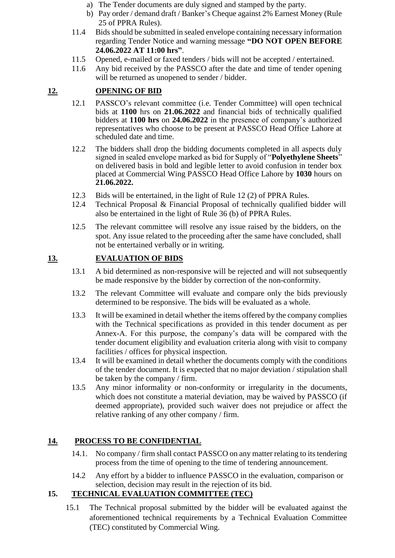- a) The Tender documents are duly signed and stamped by the party.
- b) Pay order / demand draft / Banker's Cheque against 2% Earnest Money (Rule 25 of PPRA Rules).
- 11.4 Bids should be submitted in sealed envelope containing necessary information regarding Tender Notice and warning message **"DO NOT OPEN BEFORE 24.06.2022 AT 11:00 hrs"**.
- 11.5 Opened, e-mailed or faxed tenders / bids will not be accepted / entertained.
- 11.6 Any bid received by the PASSCO after the date and time of tender opening will be returned as unopened to sender / bidder.

# **12. OPENING OF BID**

- 12.1 PASSCO's relevant committee (i.e. Tender Committee) will open technical bids at **1100** hrs on **21.06.2022** and financial bids of technically qualified bidders at **1100 hrs** on **24.06.2022** in the presence of company's authorized representatives who choose to be present at PASSCO Head Office Lahore at scheduled date and time.
- 12.2 The bidders shall drop the bidding documents completed in all aspects duly signed in sealed envelope marked as bid for Supply of "**Polyethylene Sheets**" on delivered basis in bold and legible letter to avoid confusion in tender box placed at Commercial Wing PASSCO Head Office Lahore by **1030** hours on **21.06.2022.**
- 12.3 Bids will be entertained, in the light of Rule 12 (2) of PPRA Rules.
- 12.4 Technical Proposal & Financial Proposal of technically qualified bidder will also be entertained in the light of Rule 36 (b) of PPRA Rules.
- 12.5 The relevant committee will resolve any issue raised by the bidders, on the spot. Any issue related to the proceeding after the same have concluded, shall not be entertained verbally or in writing.

# **13. EVALUATION OF BIDS**

- 13.1 A bid determined as non-responsive will be rejected and will not subsequently be made responsive by the bidder by correction of the non-conformity.
- 13.2 The relevant Committee will evaluate and compare only the bids previously determined to be responsive. The bids will be evaluated as a whole.
- 13.3 It will be examined in detail whether the items offered by the company complies with the Technical specifications as provided in this tender document as per Annex-A. For this purpose, the company's data will be compared with the tender document eligibility and evaluation criteria along with visit to company facilities / offices for physical inspection.
- 13.4 It will be examined in detail whether the documents comply with the conditions of the tender document. It is expected that no major deviation / stipulation shall be taken by the company / firm.
- 13.5 Any minor informality or non-conformity or irregularity in the documents, which does not constitute a material deviation, may be waived by PASSCO (if deemed appropriate), provided such waiver does not prejudice or affect the relative ranking of any other company / firm.

# **14. PROCESS TO BE CONFIDENTIAL**

- 14.1. No company / firm shall contact PASSCO on any matter relating to its tendering process from the time of opening to the time of tendering announcement.
- 14.2 Any effort by a bidder to influence PASSCO in the evaluation, comparison or selection, decision may result in the rejection of its bid.

# **15. TECHNICAL EVALUATION COMMITTEE (TEC)**

15.1 The Technical proposal submitted by the bidder will be evaluated against the aforementioned technical requirements by a Technical Evaluation Committee (TEC) constituted by Commercial Wing.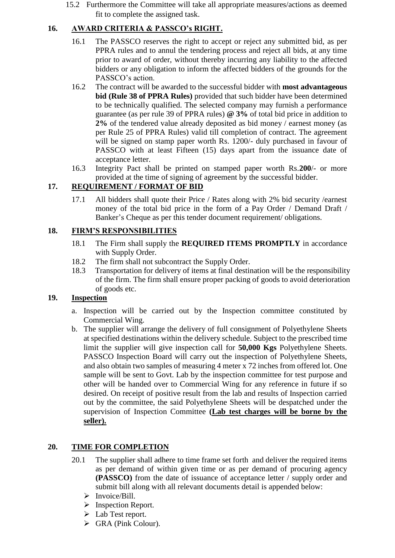15.2 Furthermore the Committee will take all appropriate measures/actions as deemed fit to complete the assigned task.

## **16. AWARD CRITERIA & PASSCO's RIGHT.**

- 16.1 The PASSCO reserves the right to accept or reject any submitted bid, as per PPRA rules and to annul the tendering process and reject all bids, at any time prior to award of order, without thereby incurring any liability to the affected bidders or any obligation to inform the affected bidders of the grounds for the PASSCO's action.
- 16.2 The contract will be awarded to the successful bidder with **most advantageous bid (Rule 38 of PPRA Rules)** provided that such bidder have been determined to be technically qualified. The selected company may furnish a performance guarantee (as per rule 39 of PPRA rules) **@ 3%** of total bid price in addition to **2%** of the tendered value already deposited as bid money / earnest money (as per Rule 25 of PPRA Rules) valid till completion of contract. The agreement will be signed on stamp paper worth Rs. 1200/- duly purchased in favour of PASSCO with at least Fifteen (15) days apart from the issuance date of acceptance letter.
- 16.3 Integrity Pact shall be printed on stamped paper worth Rs.**200**/- or more provided at the time of signing of agreement by the successful bidder.

## **17. REQUIREMENT / FORMAT OF BID**

17.1 All bidders shall quote their Price / Rates along with 2% bid security /earnest money of the total bid price in the form of a Pay Order / Demand Draft / Banker's Cheque as per this tender document requirement/ obligations.

## **18. FIRM'S RESPONSIBILITIES**

- 18.1 The Firm shall supply the **REQUIRED ITEMS PROMPTLY** in accordance with Supply Order.
- 18.2 The firm shall not subcontract the Supply Order.
- 18.3 Transportation for delivery of items at final destination will be the responsibility of the firm. The firm shall ensure proper packing of goods to avoid deterioration of goods etc.

## **19. Inspection**

- a. Inspection will be carried out by the Inspection committee constituted by Commercial Wing.
- b. The supplier will arrange the delivery of full consignment of Polyethylene Sheets at specified destinations within the delivery schedule. Subject to the prescribed time limit the supplier will give inspection call for **50,000 Kgs** Polyethylene Sheets. PASSCO Inspection Board will carry out the inspection of Polyethylene Sheets, and also obtain two samples of measuring 4 meter x 72 inches from offered lot. One sample will be sent to Govt. Lab by the inspection committee for test purpose and other will be handed over to Commercial Wing for any reference in future if so desired. On receipt of positive result from the lab and results of Inspection carried out by the committee, the said Polyethylene Sheets will be despatched under the supervision of Inspection Committee **(Lab test charges will be borne by the seller).**

## **20. TIME FOR COMPLETION**

- 20.1 The supplier shall adhere to time frame set forth and deliver the required items as per demand of within given time or as per demand of procuring agency **(PASSCO)** from the date of issuance of acceptance letter / supply order and submit bill along with all relevant documents detail is appended below:
	- $\triangleright$  Invoice/Bill.
	- $\triangleright$  Inspection Report.
	- > Lab Test report.
	- GRA (Pink Colour).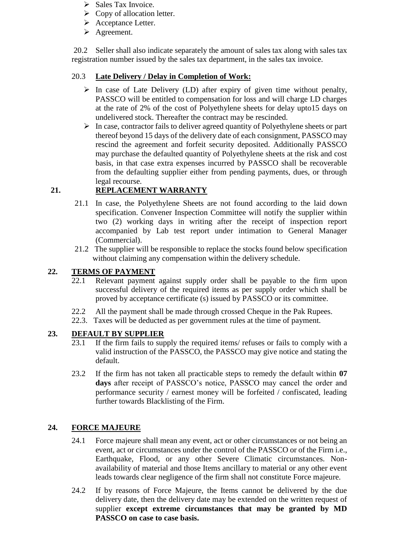- $\triangleright$  Sales Tax Invoice.
- $\triangleright$  Copy of allocation letter.
- Acceptance Letter.
- **►** Agreement.

20.2 Seller shall also indicate separately the amount of sales tax along with sales tax registration number issued by the sales tax department, in the sales tax invoice.

## 20.3 **Late Delivery / Delay in Completion of Work:**

- $\triangleright$  In case of Late Delivery (LD) after expiry of given time without penalty, PASSCO will be entitled to compensation for loss and will charge LD charges at the rate of 2% of the cost of Polyethylene sheets for delay upto15 days on undelivered stock. Thereafter the contract may be rescinded.
- $\triangleright$  In case, contractor fails to deliver agreed quantity of Polyethylene sheets or part thereof beyond 15 days of the delivery date of each consignment, PASSCO may rescind the agreement and forfeit security deposited. Additionally PASSCO may purchase the defaulted quantity of Polyethylene sheets at the risk and cost basis, in that case extra expenses incurred by PASSCO shall be recoverable from the defaulting supplier either from pending payments, dues, or through legal recourse.

## **21. REPLACEMENT WARRANTY**

- 21.1 In case, the Polyethylene Sheets are not found according to the laid down specification. Convener Inspection Committee will notify the supplier within two (2) working days in writing after the receipt of inspection report accompanied by Lab test report under intimation to General Manager (Commercial).
- 21.2 The supplier will be responsible to replace the stocks found below specification without claiming any compensation within the delivery schedule.

## **22. TERMS OF PAYMENT**

- 22.1 Relevant payment against supply order shall be payable to the firm upon successful delivery of the required items as per supply order which shall be proved by acceptance certificate (s) issued by PASSCO or its committee.
- 22.2 All the payment shall be made through crossed Cheque in the Pak Rupees.
- 22.3. Taxes will be deducted as per government rules at the time of payment.

## **23. DEFAULT BY SUPPLIER**

- 23.1 If the firm fails to supply the required items/ refuses or fails to comply with a valid instruction of the PASSCO, the PASSCO may give notice and stating the default.
- 23.2 If the firm has not taken all practicable steps to remedy the default within **07 days** after receipt of PASSCO's notice, PASSCO may cancel the order and performance security / earnest money will be forfeited / confiscated, leading further towards Blacklisting of the Firm.

## **24. FORCE MAJEURE**

- 24.1 Force majeure shall mean any event, act or other circumstances or not being an event, act or circumstances under the control of the PASSCO or of the Firm i.e., Earthquake, Flood, or any other Severe Climatic circumstances. Nonavailability of material and those Items ancillary to material or any other event leads towards clear negligence of the firm shall not constitute Force majeure.
- 24.2 If by reasons of Force Majeure, the Items cannot be delivered by the due delivery date, then the delivery date may be extended on the written request of supplier **except extreme circumstances that may be granted by MD PASSCO on case to case basis.**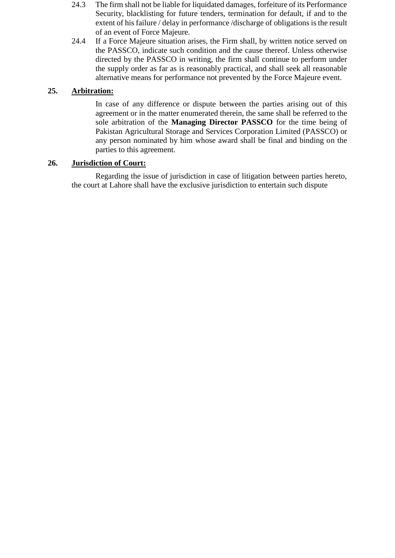- 24.3 The firm shall not be liable for liquidated damages, forfeiture of its Performance Security, blacklisting for future tenders, termination for default, if and to the extent of his failure / delay in performance /discharge of obligations is the result of an event of Force Majeure.
- 24.4 If a Force Majeure situation arises, the Firm shall, by written notice served on the PASSCO, indicate such condition and the cause thereof. Unless otherwise directed by the PASSCO in writing, the firm shall continue to perform under the supply order as far as is reasonably practical, and shall seek all reasonable alternative means for performance not prevented by the Force Majeure event.

## **25. Arbitration:**

In case of any difference or dispute between the parties arising out of this agreement or in the matter enumerated therein, the same shall be referred to the sole arbitration of the **Managing Director PASSCO** for the time being of Pakistan Agricultural Storage and Services Corporation Limited (PASSCO) or any person nominated by him whose award shall be final and binding on the parties to this agreement.

## **26. Jurisdiction of Court:**

Regarding the issue of jurisdiction in case of litigation between parties hereto, the court at Lahore shall have the exclusive jurisdiction to entertain such dispute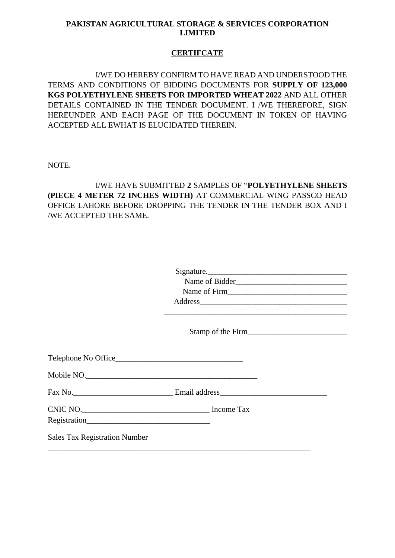### **PAKISTAN AGRICULTURAL STORAGE & SERVICES CORPORATION LIMITED**

## **CERTIFCATE**

I/WE DO HEREBY CONFIRM TO HAVE READ AND UNDERSTOOD THE TERMS AND CONDITIONS OF BIDDING DOCUMENTS FOR **SUPPLY OF 123,000 KGS POLYETHYLENE SHEETS FOR IMPORTED WHEAT 2022** AND ALL OTHER DETAILS CONTAINED IN THE TENDER DOCUMENT. I /WE THEREFORE, SIGN HEREUNDER AND EACH PAGE OF THE DOCUMENT IN TOKEN OF HAVING ACCEPTED ALL EWHAT IS ELUCIDATED THEREIN.

NOTE.

# I/WE HAVE SUBMITTED **2** SAMPLES OF "**POLYETHYLENE SHEETS (PIECE 4 METER 72 INCHES WIDTH)** AT COMMERCIAL WING PASSCO HEAD OFFICE LAHORE BEFORE DROPPING THE TENDER IN THE TENDER BOX AND I /WE ACCEPTED THE SAME.

|                                      | Signature.        |
|--------------------------------------|-------------------|
|                                      |                   |
|                                      |                   |
|                                      | Address           |
|                                      |                   |
|                                      | Stamp of the Firm |
|                                      |                   |
| Telephone No Office                  |                   |
| Mobile NO.                           |                   |
|                                      |                   |
|                                      |                   |
|                                      |                   |
| <b>Sales Tax Registration Number</b> |                   |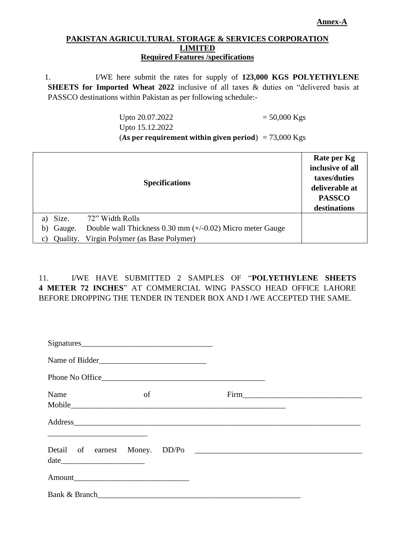#### **Annex-A**

#### **PAKISTAN AGRICULTURAL STORAGE & SERVICES CORPORATION LIMITED Required Features /specifications**

1. I/WE here submit the rates for supply of **123,000 KGS POLYETHYLENE SHEETS for Imported Wheat 2022** inclusive of all taxes & duties on "delivered basis at PASSCO destinations within Pakistan as per following schedule:-

> Upto 20.07.2022  $= 50,000 \text{ Kgs}$ Upto 15.12.2022 (**As per requirement within given period**) = 73,000 Kgs

|    |          | Rate per Kg<br>inclusive of all<br>taxes/duties<br>deliverable at<br><b>PASSCO</b><br>destinations |  |
|----|----------|----------------------------------------------------------------------------------------------------|--|
| a) | Size.    | 72" Width Rolls                                                                                    |  |
| b) | Gauge.   | Double wall Thickness $0.30 \text{ mm } (+/-0.02)$ Micro meter Gauge                               |  |
| C) | Quality. | Virgin Polymer (as Base Polymer)                                                                   |  |

## 11. I/WE HAVE SUBMITTED 2 SAMPLES OF "**POLYETHYLENE SHEETS 4 METER 72 INCHES**" AT COMMERCIAL WING PASSCO HEAD OFFICE LAHORE BEFORE DROPPING THE TENDER IN TENDER BOX AND I /WE ACCEPTED THE SAME.

| Signatures     |    |                 |         |
|----------------|----|-----------------|---------|
| Name of Bidder |    |                 |         |
|                |    | Phone No Office |         |
| Name           | of |                 |         |
|                |    |                 | Address |
|                |    |                 |         |
|                |    |                 |         |
|                |    | Bank & Branch   |         |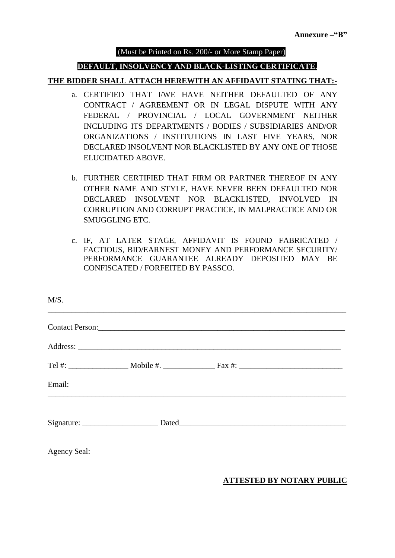#### (Must be Printed on Rs. 200/- or More Stamp Paper)

### **DEFAULT, INSOLVENCY AND BLACK-LISTING CERTIFICATE.**

#### **THE BIDDER SHALL ATTACH HEREWITH AN AFFIDAVIT STATING THAT:-**

- a. CERTIFIED THAT I/WE HAVE NEITHER DEFAULTED OF ANY CONTRACT / AGREEMENT OR IN LEGAL DISPUTE WITH ANY FEDERAL / PROVINCIAL / LOCAL GOVERNMENT NEITHER INCLUDING ITS DEPARTMENTS / BODIES / SUBSIDIARIES AND/OR ORGANIZATIONS / INSTITUTIONS IN LAST FIVE YEARS, NOR DECLARED INSOLVENT NOR BLACKLISTED BY ANY ONE OF THOSE ELUCIDATED ABOVE.
- b. FURTHER CERTIFIED THAT FIRM OR PARTNER THEREOF IN ANY OTHER NAME AND STYLE, HAVE NEVER BEEN DEFAULTED NOR DECLARED INSOLVENT NOR BLACKLISTED, INVOLVED IN CORRUPTION AND CORRUPT PRACTICE, IN MALPRACTICE AND OR SMUGGLING ETC.
- c. IF, AT LATER STAGE, AFFIDAVIT IS FOUND FABRICATED / FACTIOUS, BID/EARNEST MONEY AND PERFORMANCE SECURITY/ PERFORMANCE GUARANTEE ALREADY DEPOSITED MAY BE CONFISCATED / FORFEITED BY PASSCO.

| M/S.                |                 |  |
|---------------------|-----------------|--|
|                     | Contact Person: |  |
|                     |                 |  |
|                     |                 |  |
| Email:              |                 |  |
|                     |                 |  |
|                     |                 |  |
| <b>Agency Seal:</b> |                 |  |

#### **ATTESTED BY NOTARY PUBLIC**